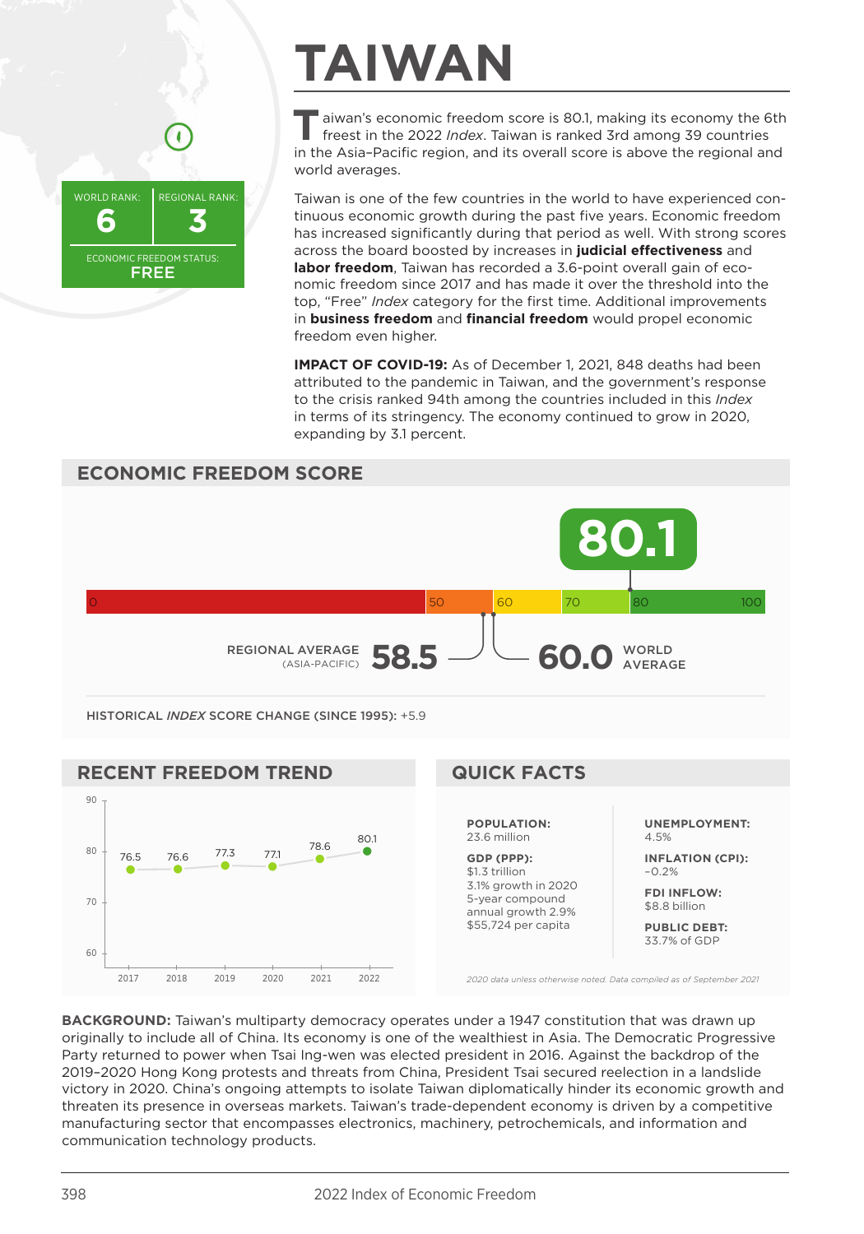

# **TAIWAN**

**T**aiwan's economic freedom score is 80.1, making its economy the 6th freest in the 2022 *Index*. Taiwan is ranked 3rd among 39 countries in the Asia–Pacific region, and its overall score is above the regional and world averages.

Taiwan is one of the few countries in the world to have experienced continuous economic growth during the past five years. Economic freedom has increased significantly during that period as well. With strong scores across the board boosted by increases in **judicial effectiveness** and **labor freedom**. Taiwan has recorded a 3.6-point overall gain of economic freedom since 2017 and has made it over the threshold into the top, "Free" *Index* category for the first time. Additional improvements in **business freedom** and **financial freedom** would propel economic freedom even higher.

**IMPACT OF COVID-19:** As of December 1, 2021, 848 deaths had been attributed to the pandemic in Taiwan, and the government's response to the crisis ranked 94th among the countries included in this *Index* in terms of its stringency. The economy continued to grow in 2020, expanding by 3.1 percent.



\$1.3 trillion 3.1% growth in 2020 5-year compound annual growth 2.9% \$55,724 per capita

**INFLATION (CPI):** –0.2%

**FDI INFLOW:** \$8.8 billion

**PUBLIC DEBT:** 33.7% of GDP

*2020 data unless otherwise noted. Data compiled as of September 2021*

**BACKGROUND:** Taiwan's multiparty democracy operates under a 1947 constitution that was drawn up originally to include all of China. Its economy is one of the wealthiest in Asia. The Democratic Progressive Party returned to power when Tsai Ing-wen was elected president in 2016. Against the backdrop of the 2019–2020 Hong Kong protests and threats from China, President Tsai secured reelection in a landslide victory in 2020. China's ongoing attempts to isolate Taiwan diplomatically hinder its economic growth and threaten its presence in overseas markets. Taiwan's trade-dependent economy is driven by a competitive manufacturing sector that encompasses electronics, machinery, petrochemicals, and information and communication technology products.

2017 2018 2019 2020 2021 2022

60

70